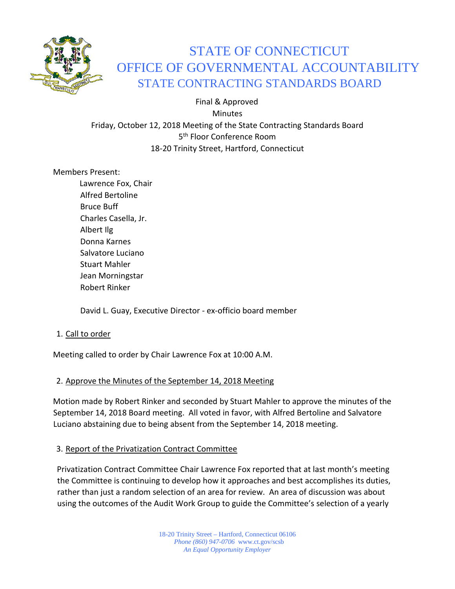

# STATE OF CONNECTICUT OFFICE OF GOVERNMENTAL ACCOUNTABILITY STATE CONTRACTING STANDARDS BOARD

 Final & Approved Minutes Friday, October 12, 2018 Meeting of the State Contracting Standards Board 5<sup>th</sup> Floor Conference Room 18-20 Trinity Street, Hartford, Connecticut

Members Present:

Lawrence Fox, Chair Alfred Bertoline Bruce Buff Charles Casella, Jr. Albert Ilg Donna Karnes Salvatore Luciano Stuart Mahler Jean Morningstar Robert Rinker

David L. Guay, Executive Director - ex-officio board member

# 1. Call to order

Meeting called to order by Chair Lawrence Fox at 10:00 A.M.

# 2. Approve the Minutes of the September 14, 2018 Meeting

Motion made by Robert Rinker and seconded by Stuart Mahler to approve the minutes of the September 14, 2018 Board meeting. All voted in favor, with Alfred Bertoline and Salvatore Luciano abstaining due to being absent from the September 14, 2018 meeting.

#### 3. Report of the Privatization Contract Committee

Privatization Contract Committee Chair Lawrence Fox reported that at last month's meeting the Committee is continuing to develop how it approaches and best accomplishes its duties, rather than just a random selection of an area for review. An area of discussion was about using the outcomes of the Audit Work Group to guide the Committee's selection of a yearly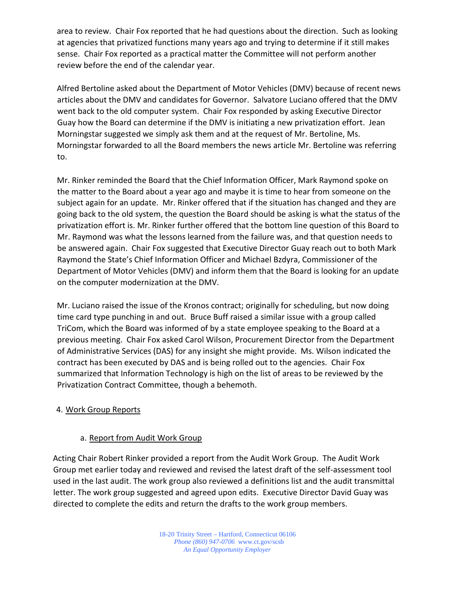area to review. Chair Fox reported that he had questions about the direction. Such as looking at agencies that privatized functions many years ago and trying to determine if it still makes sense. Chair Fox reported as a practical matter the Committee will not perform another review before the end of the calendar year.

Alfred Bertoline asked about the Department of Motor Vehicles (DMV) because of recent news articles about the DMV and candidates for Governor. Salvatore Luciano offered that the DMV went back to the old computer system. Chair Fox responded by asking Executive Director Guay how the Board can determine if the DMV is initiating a new privatization effort. Jean Morningstar suggested we simply ask them and at the request of Mr. Bertoline, Ms. Morningstar forwarded to all the Board members the news article Mr. Bertoline was referring to.

Mr. Rinker reminded the Board that the Chief Information Officer, Mark Raymond spoke on the matter to the Board about a year ago and maybe it is time to hear from someone on the subject again for an update. Mr. Rinker offered that if the situation has changed and they are going back to the old system, the question the Board should be asking is what the status of the privatization effort is. Mr. Rinker further offered that the bottom line question of this Board to Mr. Raymond was what the lessons learned from the failure was, and that question needs to be answered again. Chair Fox suggested that Executive Director Guay reach out to both Mark Raymond the State's Chief Information Officer and Michael Bzdyra, Commissioner of the Department of Motor Vehicles (DMV) and inform them that the Board is looking for an update on the computer modernization at the DMV.

Mr. Luciano raised the issue of the Kronos contract; originally for scheduling, but now doing time card type punching in and out. Bruce Buff raised a similar issue with a group called TriCom, which the Board was informed of by a state employee speaking to the Board at a previous meeting. Chair Fox asked Carol Wilson, Procurement Director from the Department of Administrative Services (DAS) for any insight she might provide. Ms. Wilson indicated the contract has been executed by DAS and is being rolled out to the agencies. Chair Fox summarized that Information Technology is high on the list of areas to be reviewed by the Privatization Contract Committee, though a behemoth.

#### 4. Work Group Reports

# a. Report from Audit Work Group

Acting Chair Robert Rinker provided a report from the Audit Work Group. The Audit Work Group met earlier today and reviewed and revised the latest draft of the self-assessment tool used in the last audit. The work group also reviewed a definitions list and the audit transmittal letter. The work group suggested and agreed upon edits. Executive Director David Guay was directed to complete the edits and return the drafts to the work group members.